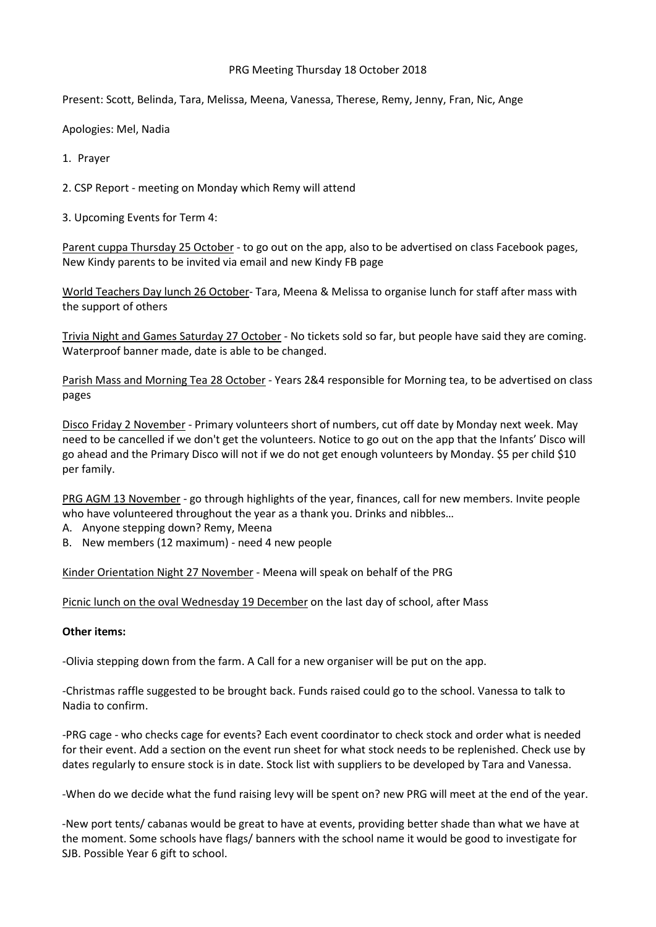## PRG Meeting Thursday 18 October 2018

Present: Scott, Belinda, Tara, Melissa, Meena, Vanessa, Therese, Remy, Jenny, Fran, Nic, Ange

Apologies: Mel, Nadia

1. Prayer

2. CSP Report - meeting on Monday which Remy will attend

3. Upcoming Events for Term 4:

Parent cuppa Thursday 25 October - to go out on the app, also to be advertised on class Facebook pages, New Kindy parents to be invited via email and new Kindy FB page

World Teachers Day lunch 26 October- Tara, Meena & Melissa to organise lunch for staff after mass with the support of others

Trivia Night and Games Saturday 27 October - No tickets sold so far, but people have said they are coming. Waterproof banner made, date is able to be changed.

Parish Mass and Morning Tea 28 October - Years 2&4 responsible for Morning tea, to be advertised on class pages

Disco Friday 2 November - Primary volunteers short of numbers, cut off date by Monday next week. May need to be cancelled if we don't get the volunteers. Notice to go out on the app that the Infants' Disco will go ahead and the Primary Disco will not if we do not get enough volunteers by Monday. \$5 per child \$10 per family.

PRG AGM 13 November - go through highlights of the year, finances, call for new members. Invite people who have volunteered throughout the year as a thank you. Drinks and nibbles…

- A. Anyone stepping down? Remy, Meena
- B. New members (12 maximum) need 4 new people

Kinder Orientation Night 27 November - Meena will speak on behalf of the PRG

Picnic lunch on the oval Wednesday 19 December on the last day of school, after Mass

## **Other items:**

-Olivia stepping down from the farm. A Call for a new organiser will be put on the app.

-Christmas raffle suggested to be brought back. Funds raised could go to the school. Vanessa to talk to Nadia to confirm.

-PRG cage - who checks cage for events? Each event coordinator to check stock and order what is needed for their event. Add a section on the event run sheet for what stock needs to be replenished. Check use by dates regularly to ensure stock is in date. Stock list with suppliers to be developed by Tara and Vanessa.

-When do we decide what the fund raising levy will be spent on? new PRG will meet at the end of the year.

-New port tents/ cabanas would be great to have at events, providing better shade than what we have at the moment. Some schools have flags/ banners with the school name it would be good to investigate for SJB. Possible Year 6 gift to school.